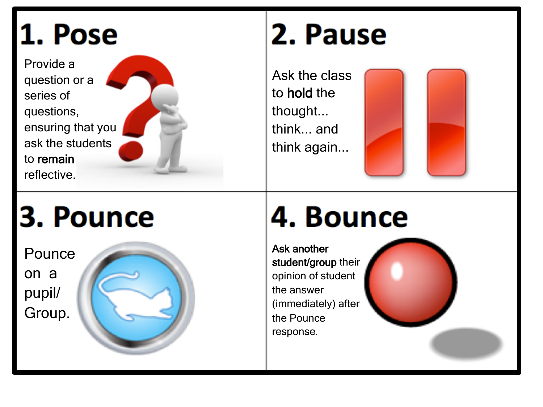### 1. Pose

Provide a question or a series of questions, ensuring that you ask the students to remain reflective.

#### 2. Pause

Ask the class to hold the thought... think... and think again...



## 3. Pounce

Pounce on a pupil/ Group.



## 4. Bounce

Ask another student/group their opinion of student the answer (immediately) after the Pounce response .

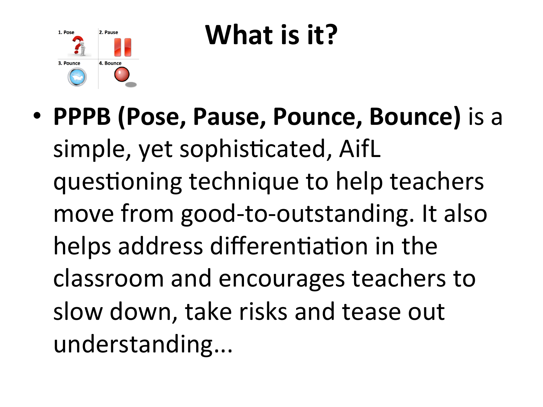

## **What is it?**

• **PPPB (Pose, Pause, Pounce, Bounce)** is a simple, yet sophisticated, AifL questioning technique to help teachers move from good-to-outstanding. It also helps address differentiation in the classroom and encourages teachers to slow down, take risks and tease out understanding...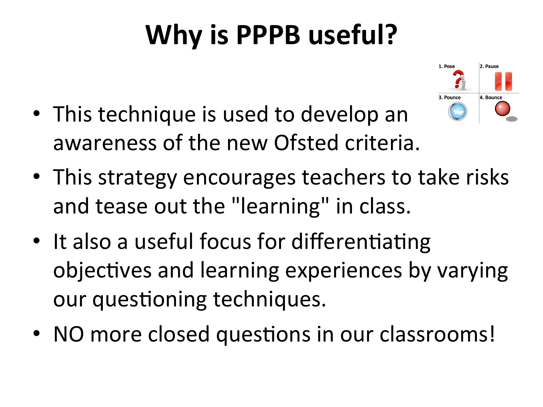## **Why is PPPB useful?**



- This technique is used to develop an awareness of the new Ofsted criteria.
- This strategy encourages teachers to take risks and tease out the "learning" in class.
- It also a useful focus for differentiating objectives and learning experiences by varying our questioning techniques.
- NO more closed questions in our classrooms!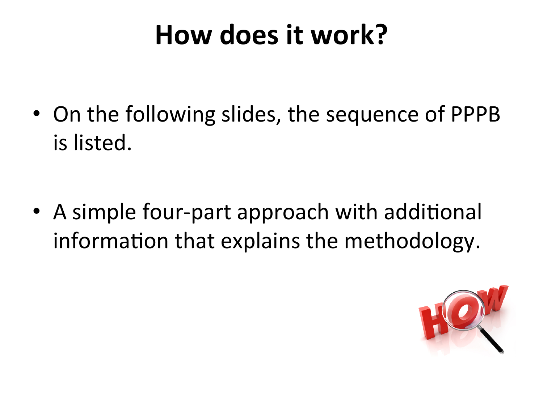#### How does it work?

• On the following slides, the sequence of PPPB is listed.

• A simple four-part approach with additional information that explains the methodology.

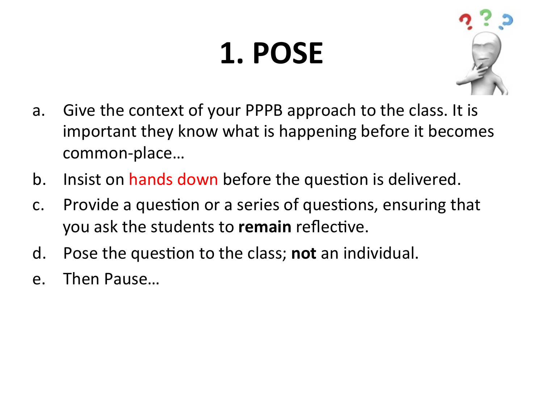# **1. POSE**



- a. Give the context of your PPPB approach to the class. It is important they know what is happening before it becomes common-place…
- b. Insist on hands down before the question is delivered.
- c. Provide a question or a series of questions, ensuring that you ask the students to **remain** reflective.
- d. Pose the question to the class; **not** an individual.
- e. Then Pause…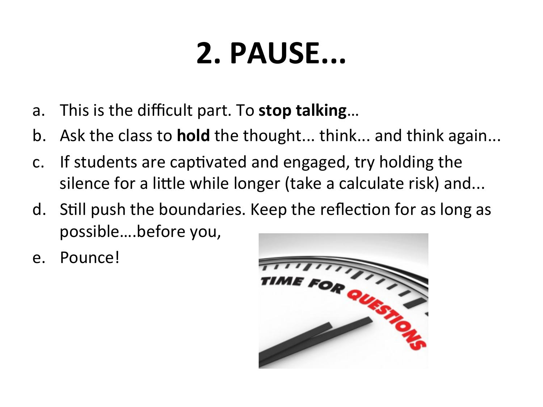## **2. PAUSE...**

- a. This is the difficult part. To **stop talking**...
- b. Ask the class to **hold** the thought... think... and think again...
- c. If students are captivated and engaged, try holding the silence for a little while longer (take a calculate risk) and...
- d. Still push the boundaries. Keep the reflection for as long as possible....before you,
- e. Pounce!

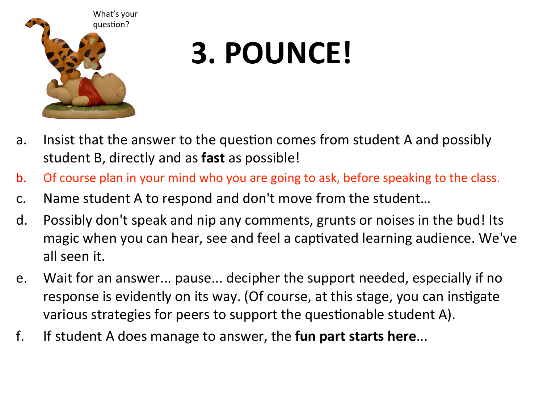

## **3. POUNCE!**

- a. Insist that the answer to the question comes from student A and possibly student B, directly and as **fast** as possible!
- b. Of course plan in your mind who you are going to ask, before speaking to the class.
- c. Name student A to respond and don't move from the student...
- d. Possibly don't speak and nip any comments, grunts or noises in the bud! Its magic when you can hear, see and feel a captivated learning audience. We've all seen it.
- e. Wait for an answer... pause... decipher the support needed, especially if no response is evidently on its way. (Of course, at this stage, you can instigate various strategies for peers to support the questionable student A).
- f. If student A does manage to answer, the **fun part starts here...**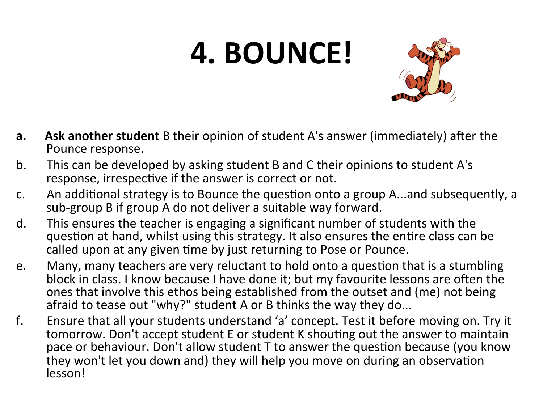# **4. BOUNCE!**



- **a.** Ask another student B their opinion of student A's answer (immediately) after the Pounce response.
- b. This can be developed by asking student B and C their opinions to student A's response, irrespective if the answer is correct or not.
- c. An additional strategy is to Bounce the question onto a group A...and subsequently, a sub-group B if group A do not deliver a suitable way forward.
- d. This ensures the teacher is engaging a significant number of students with the question at hand, whilst using this strategy. It also ensures the entire class can be called upon at any given time by just returning to Pose or Pounce.
- e. Many, many teachers are very reluctant to hold onto a question that is a stumbling block in class. I know because I have done it; but my favourite lessons are often the ones that involve this ethos being established from the outset and (me) not being afraid to tease out "why?" student A or B thinks the way they do...
- f. Ensure that all your students understand 'a' concept. Test it before moving on. Try it tomorrow. Don't accept student E or student K shouting out the answer to maintain pace or behaviour. Don't allow student T to answer the question because (you know they won't let you down and) they will help you move on during an observation lesson!